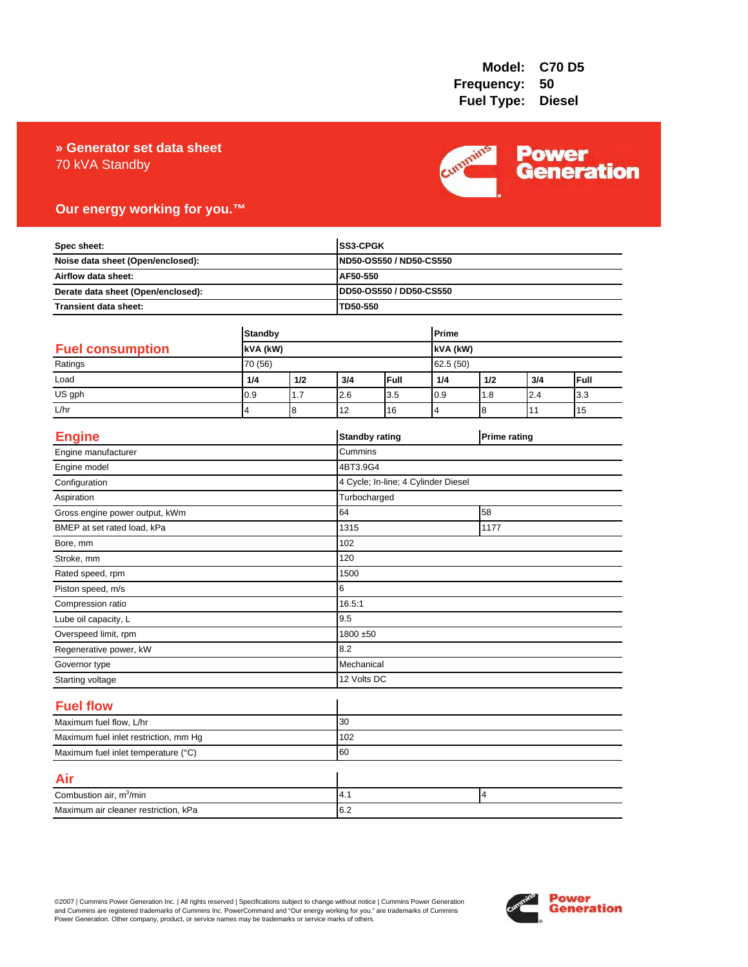### 70 kVA Standby **» Generator set data sheet**



## **Our energy working for you.™**

| Spec sheet:<br>Noise data sheet (Open/enclosed):<br>Airflow data sheet:<br>Derate data sheet (Open/enclosed): |                     |     |             | SS3-CPGK<br>ND50-OS550 / ND50-CS550 |                |                     |     |      |
|---------------------------------------------------------------------------------------------------------------|---------------------|-----|-------------|-------------------------------------|----------------|---------------------|-----|------|
|                                                                                                               |                     |     |             |                                     |                |                     |     |      |
|                                                                                                               |                     |     |             | AF50-550                            |                |                     |     |      |
|                                                                                                               |                     |     |             | DD50-OS550 / DD50-CS550             |                |                     |     |      |
| Transient data sheet:                                                                                         |                     |     | TD50-550    |                                     |                |                     |     |      |
|                                                                                                               | <b>Standby</b>      |     |             |                                     | Prime          |                     |     |      |
| <b>Fuel consumption</b>                                                                                       | kVA (kW)<br>70 (56) |     |             | kVA (kW)                            |                |                     |     |      |
| Ratings                                                                                                       |                     |     |             |                                     | 62.5 (50)      |                     |     |      |
| Load                                                                                                          | 1/4                 | 1/2 | 3/4         | Full                                | 1/4            | 1/2                 | 3/4 | Full |
| US gph                                                                                                        | 0.9                 | 1.7 | 2.6         | 3.5                                 | 0.9            | 1.8                 | 2.4 | 3.3  |
| L/hr                                                                                                          | 4                   | 8   | 12          | 16                                  | $\overline{4}$ | 8                   | 11  | 15   |
| <b>Engine</b>                                                                                                 |                     |     |             | <b>Standby rating</b>               |                | <b>Prime rating</b> |     |      |
| Engine manufacturer                                                                                           |                     |     | Cummins     |                                     |                |                     |     |      |
| Engine model                                                                                                  |                     |     | 4BT3.9G4    |                                     |                |                     |     |      |
| Configuration                                                                                                 |                     |     |             | 4 Cycle; In-line; 4 Cylinder Diesel |                |                     |     |      |
| Aspiration                                                                                                    |                     |     |             | Turbocharged                        |                |                     |     |      |
| Gross engine power output, kWm                                                                                |                     |     | 64          | 58                                  |                |                     |     |      |
| BMEP at set rated load, kPa                                                                                   |                     |     | 1315        | 1177                                |                |                     |     |      |
| Bore, mm                                                                                                      |                     |     | 102         |                                     |                |                     |     |      |
| Stroke, mm                                                                                                    |                     |     | 120         |                                     |                |                     |     |      |
| Rated speed, rpm                                                                                              |                     |     | 1500        |                                     |                |                     |     |      |
| Piston speed, m/s                                                                                             |                     |     | 6           |                                     |                |                     |     |      |
| Compression ratio                                                                                             |                     |     | 16.5:1      |                                     |                |                     |     |      |
| Lube oil capacity, L                                                                                          |                     |     | 9.5         |                                     |                |                     |     |      |
| Overspeed limit, rpm                                                                                          |                     |     |             | 1800 ±50                            |                |                     |     |      |
| Regenerative power, kW                                                                                        |                     |     | 8.2         |                                     |                |                     |     |      |
| Governor type                                                                                                 |                     |     |             | Mechanical                          |                |                     |     |      |
| Starting voltage                                                                                              |                     |     | 12 Volts DC |                                     |                |                     |     |      |
| <b>Fuel flow</b>                                                                                              |                     |     |             |                                     |                |                     |     |      |
| Maximum fuel flow, L/hr                                                                                       |                     |     | 30          |                                     |                |                     |     |      |
| Maximum fuel inlet restriction, mm Hg                                                                         |                     |     | 102         |                                     |                |                     |     |      |
| Maximum fuel inlet temperature (°C)                                                                           |                     | 60  |             |                                     |                |                     |     |      |
| Air                                                                                                           |                     |     |             |                                     |                |                     |     |      |
| Combustion air, m <sup>3</sup> /min                                                                           |                     |     | 4.1         |                                     |                | 4                   |     |      |
| Maximum air cleaner restriction, kPa                                                                          |                     |     | 6.2         |                                     |                |                     |     |      |

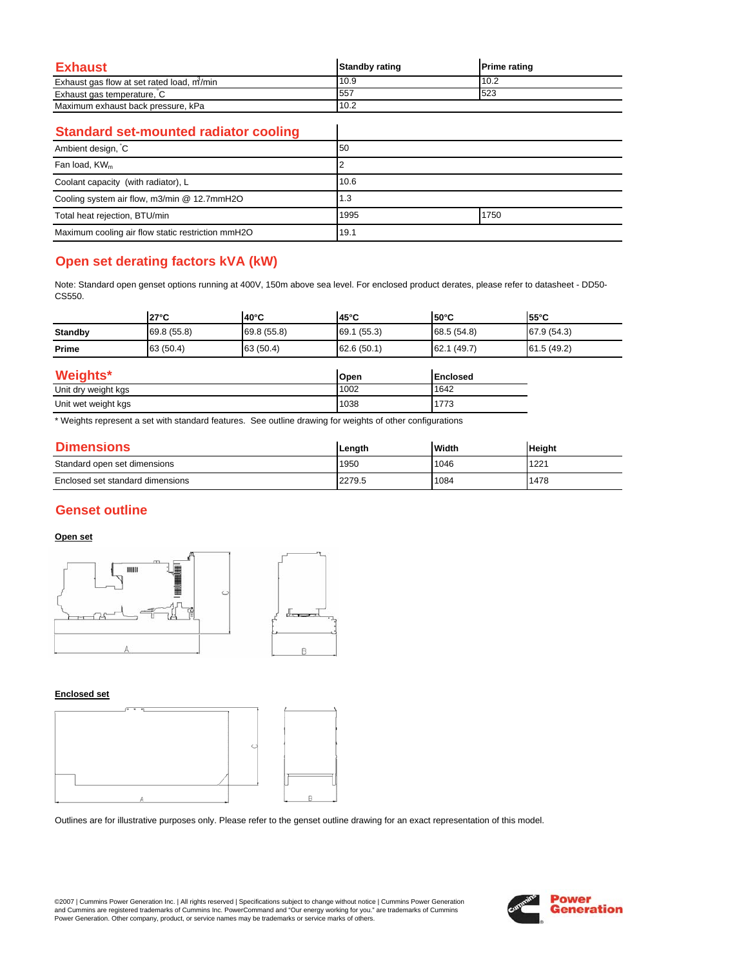| <b>Exhaust</b>                            | <b>Standby rating</b> | <b>Prime rating</b> |
|-------------------------------------------|-----------------------|---------------------|
| Exhaust gas flow at set rated load, m/min | 10.9                  | 10.2                |
| Exhaust gas temperature, C                | 557                   | 523                 |
| Maximum exhaust back pressure, kPa        | 10.2                  |                     |

 $\overline{\phantom{a}}$ 

### **Standard set-mounted radiator cooling**

| Ambient design, C                                 | 50           |  |
|---------------------------------------------------|--------------|--|
| Fan load, KW <sub>m</sub>                         |              |  |
| Coolant capacity (with radiator), L               | 10.6         |  |
| Cooling system air flow, m3/min @ 12.7mmH2O       | 1.3          |  |
| Total heat rejection, BTU/min                     | 1995<br>1750 |  |
| Maximum cooling air flow static restriction mmH2O | 19.1         |  |

## **Open set derating factors kVA (kW)**

Note: Standard open genset options running at 400V, 150m above sea level. For enclosed product derates, please refer to datasheet - DD50- CS550.

|                | $27^{\circ}$ C | l40°C       | $45^{\circ}$ C | $50^{\circ}$ C  | 55°C        |
|----------------|----------------|-------------|----------------|-----------------|-------------|
| <b>Standby</b> | 69.8 (55.8)    | 69.8 (55.8) | 69.1 (55.3)    | 68.5 (54.8)     | 67.9 (54.3) |
| Prime          | 63 (50.4)      | 63 (50.4)   | 62.6(50.1)     | 62.1 (49.7)     | 61.5 (49.2) |
| Weights*       |                |             | Open           | <b>Enclosed</b> |             |

| 1101                | וושטעו | <b>IEII</b> UUSEU     |
|---------------------|--------|-----------------------|
| Unit dry weight kgs | 1002   | 1642                  |
| Unit wet weight kgs | 1038   | 77 <sub>6</sub><br>77 |

\* Weights represent a set with standard features. See outline drawing for weights of other configurations

| <b>Dimensions</b>                | Lenath | <b>Width</b> | <b>Height</b> |
|----------------------------------|--------|--------------|---------------|
| Standard open set dimensions     | 1950   | 1046         | 1221          |
| Enclosed set standard dimensions | 2279.5 | 1084         | 1478          |

### **Genset outline**

### **Open set**



#### **Enclosed set**



Outlines are for illustrative purposes only. Please refer to the genset outline drawing for an exact representation of this model.

©2007 | Cummins Power Generation Inc. | All rights reserved | Specifications subject to change without notice | Cummins Power Generation and Cummins are registered trademarks of Cummins Inc. PowerCommand and "Our energy working for you." are trademarks of Cummins<br>Power Generation. Other company, product, or service names may be trademarks or service marks o